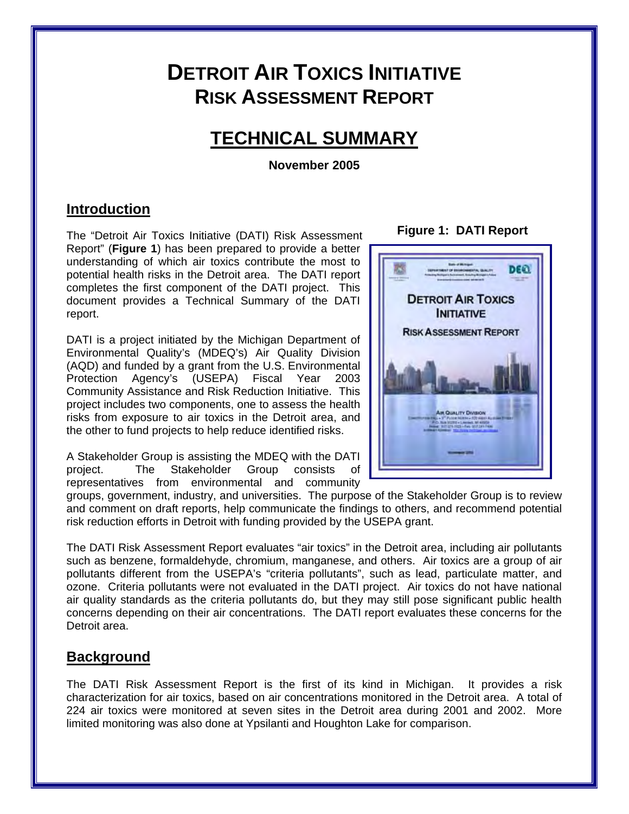# **DETROIT AIR TOXICS INITIATIVE RISK ASSESSMENT REPORT**

# **TECHNICAL SUMMARY**

**November 2005** 

# **Introduction**

**Figure 1: DATI Report** The "Detroit Air Toxics Initiative (DATI) Risk Assessment Report" (**Figure 1**) has been prepared to provide a better understanding of which air toxics contribute the most to potential health risks in the Detroit area. The DATI report completes the first component of the DATI project. This document provides a Technical Summary of the DATI report.

DATI is a project initiated by the Michigan Department of Environmental Quality's (MDEQ's) Air Quality Division (AQD) and funded by a grant from the U.S. Environmental Protection Agency's (USEPA) Fiscal Year 2003 Community Assistance and Risk Reduction Initiative. This project includes two components, one to assess the health risks from exposure to air toxics in the Detroit area, and the other to fund projects to help reduce identified risks.

A Stakeholder Group is assisting the MDEQ with the DATI project. The Stakeholder Group consists representatives from environmental and community



groups, government, industry, and universities. The purpose of the Stakeholder Group is to review and comment on draft reports, help communicate the findings to others, and recommend potential risk reduction efforts in Detroit with funding provided by the USEPA grant.

The DATI Risk Assessment Report evaluates "air toxics" in the Detroit area, including air pollutants such as benzene, formaldehyde, chromium, manganese, and others. Air toxics are a group of air pollutants different from the USEPA's "criteria pollutants", such as lead, particulate matter, and ozone. Criteria pollutants were not evaluated in the DATI project. Air toxics do not have national air quality standards as the criteria pollutants do, but they may still pose significant public health concerns depending on their air concentrations. The DATI report evaluates these concerns for the Detroit area.

# **Background**

The DATI Risk Assessment Report is the first of its kind in Michigan. It provides a risk characterization for air toxics, based on air concentrations monitored in the Detroit area. A total of 224 air toxics were monitored at seven sites in the Detroit area during 2001 and 2002. More limited monitoring was also done at Ypsilanti and Houghton Lake for comparison.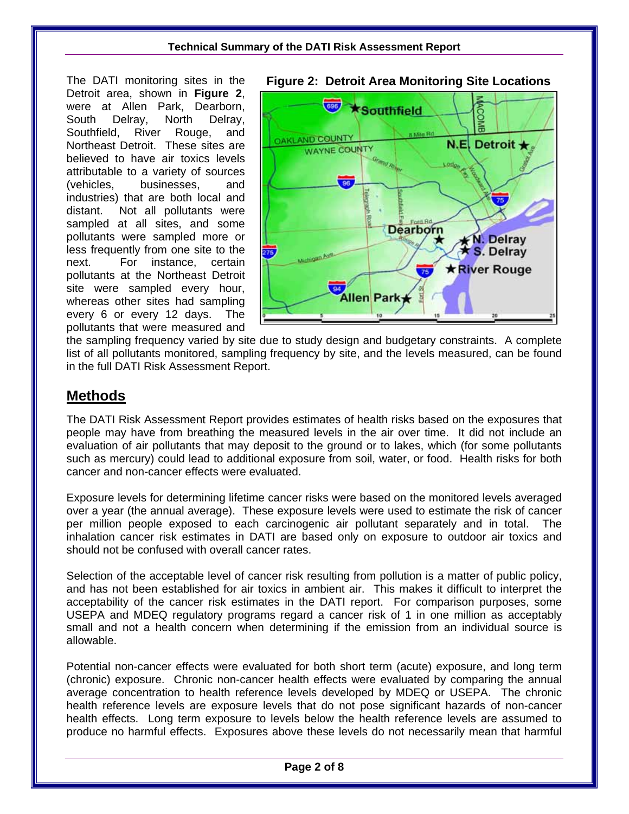Detroit area, shown in **Figure 2**, were at Allen Park, Dearborn, South Delray, North Delray, Southfield, River Rouge, and Northeast Detroit. These sites are believed to have air toxics levels attributable to a variety of sources (vehicles, businesses, and industries) that are both local and distant. Not all pollutants were sampled at all sites, and some pollutants were sampled more or less frequently from one site to the next. For instance, certain pollutants at the Northeast Detroit site were sampled every hour, whereas other sites had sampling every 6 or every 12 days. The pollutants that were measured and



the sampling frequency varied by site due to study design and budgetary constraints. A complete list of all pollutants monitored, sampling frequency by site, and the levels measured, can be found in the full DATI Risk Assessment Report.

# **Methods**

The DATI Risk Assessment Report provides estimates of health risks based on the exposures that people may have from breathing the measured levels in the air over time. It did not include an evaluation of air pollutants that may deposit to the ground or to lakes, which (for some pollutants such as mercury) could lead to additional exposure from soil, water, or food. Health risks for both cancer and non-cancer effects were evaluated.

Exposure levels for determining lifetime cancer risks were based on the monitored levels averaged over a year (the annual average). These exposure levels were used to estimate the risk of cancer per million people exposed to each carcinogenic air pollutant separately and in total. The inhalation cancer risk estimates in DATI are based only on exposure to outdoor air toxics and should not be confused with overall cancer rates.

Selection of the acceptable level of cancer risk resulting from pollution is a matter of public policy, and has not been established for air toxics in ambient air. This makes it difficult to interpret the acceptability of the cancer risk estimates in the DATI report. For comparison purposes, some USEPA and MDEQ regulatory programs regard a cancer risk of 1 in one million as acceptably small and not a health concern when determining if the emission from an individual source is allowable.

Potential non-cancer effects were evaluated for both short term (acute) exposure, and long term (chronic) exposure. Chronic non-cancer health effects were evaluated by comparing the annual average concentration to health reference levels developed by MDEQ or USEPA. The chronic health reference levels are exposure levels that do not pose significant hazards of non-cancer health effects. Long term exposure to levels below the health reference levels are assumed to produce no harmful effects. Exposures above these levels do not necessarily mean that harmful

### The DATI monitoring sites in the **Figure 2: Detroit Area Monitoring Site Locations**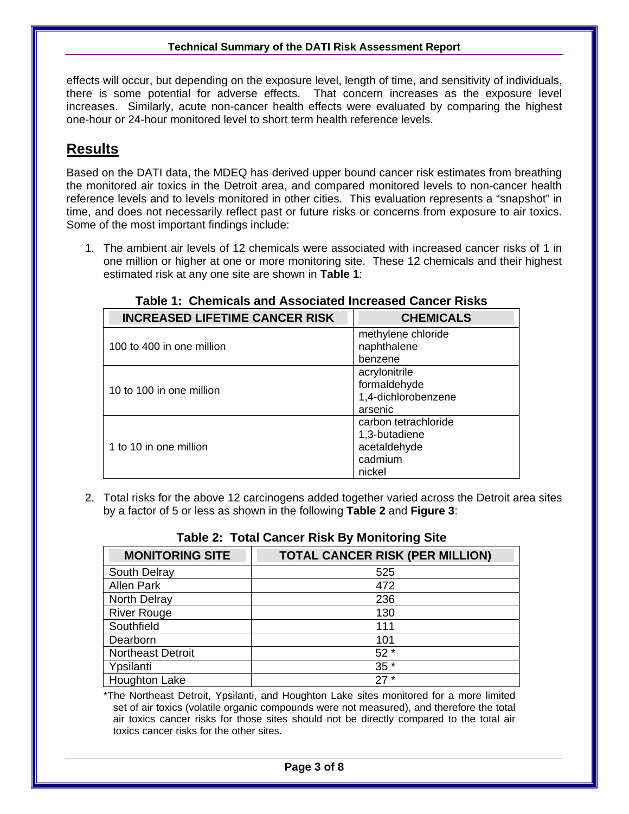there is some potential for adverse effects. That concern increases as the exposure level increases. Similarly, acute non-cancer health effects were evaluated by comparing the highest effects will occur, but depending on the exposure level, length of time, and sensitivity of individuals, one-hour or 24-hour monitored level to short term health reference levels.

# **Results**

Based on the DATI data, the MDEQ has derived upper bound cancer risk estimates from breathing the monitored air toxics in the Detroit area, and compared monitored levels to non-cancer health reference levels and to levels monitored in other cities. This evaluation represents a "snapshot" in time, and does not necessarily reflect past or future risks or concerns from exposure to air toxics. Some of the most important findings include:

1. The ambient air levels of 12 chemicals were associated with increased cancer risks of 1 in one million or higher at one or more monitoring site. These 12 chemicals and their highest estimated risk at any one site are shown in **Table 1**:

| <b>INCREASED LIFETIME CANCER RISK</b> | <b>CHEMICALS</b>       |
|---------------------------------------|------------------------|
| 100 to 400 in one million             | methylene chloride     |
|                                       | naphthalene<br>benzene |
| 10 to 100 in one million              | acrylonitrile          |
|                                       | formaldehyde           |
|                                       | 1,4-dichlorobenzene    |
|                                       | arsenic                |
| 1 to 10 in one million                | carbon tetrachloride   |
|                                       | 1,3-butadiene          |
|                                       | acetaldehyde           |
|                                       | cadmium                |
|                                       | nickel                 |

#### **Table 1: Chemicals and Associated Increased Cancer Risks**

2. Total risks for the above 12 carcinogens added together varied across the Detroit area sites by a factor of 5 or less as shown in the following **Table 2** and **Figure 3**:

| <b>MONITORING SITE</b>   | <b>TOTAL CANCER RISK (PER MILLION)</b> |
|--------------------------|----------------------------------------|
| South Delray             | 525                                    |
| <b>Allen Park</b>        | 472                                    |
| North Delray             | 236                                    |
| <b>River Rouge</b>       | 130                                    |
| Southfield               | 111                                    |
| Dearborn                 | 101                                    |
| <b>Northeast Detroit</b> | $52*$                                  |
| Ypsilanti                | $35*$                                  |
| <b>Houghton Lake</b>     | $27*$                                  |

#### **Table 2: Total Cancer Risk By Monitoring Site**

 toxics cancer risks for the other sites. \*The Northeast Detroit, Ypsilanti, and Houghton Lake sites monitored for a more limited set of air toxics (volatile organic compounds were not measured), and therefore the total air toxics cancer risks for those sites should not be directly compared to the total air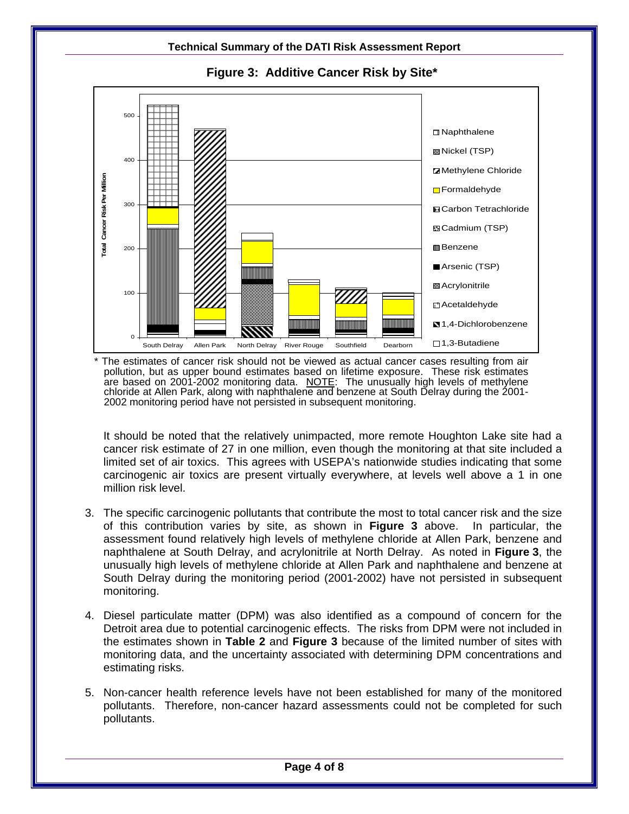

**Figure 3: Additive Cancer Risk by Site\*** 

The estimates of cancer risk should not be viewed as actual cancer cases resulting from air pollution, but as upper bound estimates based on lifetime exposure. These risk estimates are based on 2001-2002 monitoring data. NOTE: The unusually high levels of methylene chloride at Allen Park, along with naphthalene and benzene at South Delray during the 2001-2002 monitoring period have not persisted in subsequent monitoring.

 cancer risk estimate of 27 in one million, even though the monitoring at that site included a It should be noted that the relatively unimpacted, more remote Houghton Lake site had a limited set of air toxics. This agrees with USEPA's nationwide studies indicating that some carcinogenic air toxics are present virtually everywhere, at levels well above a 1 in one million risk level.

- 3. The specific carcinogenic pollutants that contribute the most to total cancer risk and the size of this contribution varies by site, as shown in **Figure 3** above. In particular, the assessment found relatively high levels of methylene chloride at Allen Park, benzene and naphthalene at South Delray, and acrylonitrile at North Delray. As noted in **Figure 3**, the unusually high levels of methylene chloride at Allen Park and naphthalene and benzene at South Delray during the monitoring period (2001-2002) have not persisted in subsequent monitoring.
- 4. Diesel particulate matter (DPM) was also identified as a compound of concern for the Detroit area due to potential carcinogenic effects. The risks from DPM were not included in the estimates shown in **Table 2** and **Figure 3** because of the limited number of sites with monitoring data, and the uncertainty associated with determining DPM concentrations and estimating risks.
- 5. Non-cancer health reference levels have not been established for many of the monitored pollutants. Therefore, non-cancer hazard assessments could not be completed for such pollutants.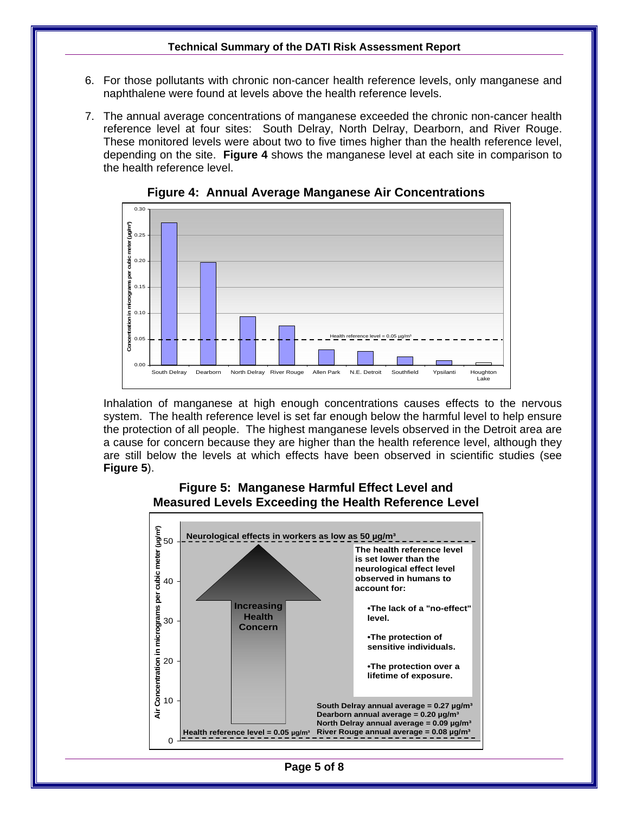- 6. For those pollutants with chronic non-cancer health reference levels, only manganese and naphthalene were found at levels above the health reference levels.
- 7. The annual average concentrations of manganese exceeded the chronic non-cancer health reference level at four sites: South Delray, North Delray, Dearborn, and River Rouge. These monitored levels were about two to five times higher than the health reference level, depending on the site. **Figure 4** shows the manganese level at each site in comparison to the health reference level.



**Figure 4: Annual Average Manganese Air Concentrations** 

Inhalation of manganese at high enough concentrations causes effects to the nervous system. The health reference level is set far enough below the harmful level to help ensure the protection of all people. The highest manganese levels observed in the Detroit area are a cause for concern because they are higher than the health reference level, although they are still below the levels at which effects have been observed in scientific studies (see **Figure 5**).

#### **Figure 5: Manganese Harmful Effect Level and Measured Levels Exceeding the Health Reference Level**



**Page 5 of 8**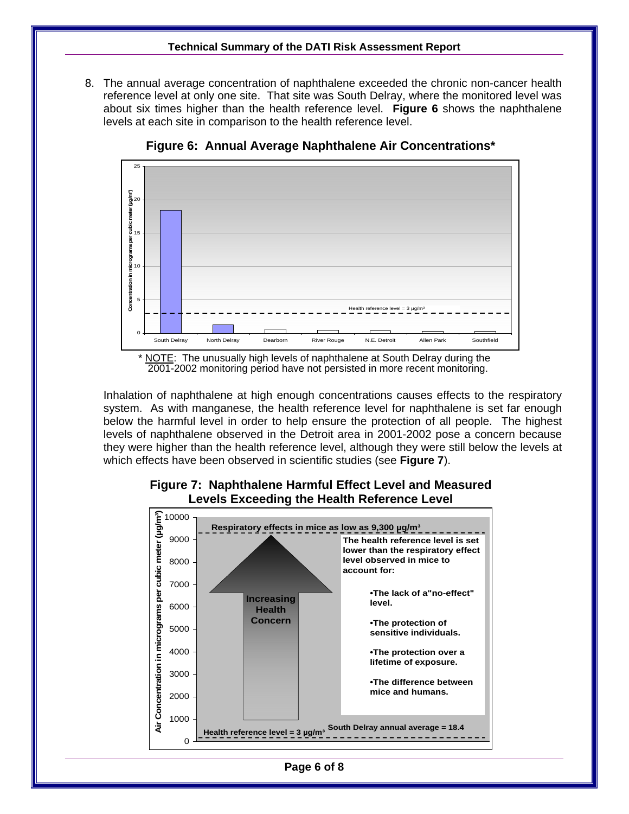8. The annual average concentration of naphthalene exceeded the chronic non-cancer health reference level at only one site. That site was South Delray, where the monitored level was about six times higher than the health reference level. **Figure 6** shows the naphthalene levels at each site in comparison to the health reference level.



**Figure 6: Annual Average Naphthalene Air Concentrations\*** 

Inhalation of naphthalene at high enough concentrations causes effects to the respiratory system. As with manganese, the health reference level for naphthalene is set far enough below the harmful level in order to help ensure the protection of all people. The highest levels of naphthalene observed in the Detroit area in 2001-2002 pose a concern because they were higher than the health reference level, although they were still below the levels at which effects have been observed in scientific studies (see **Figure 7**).



#### **Figure 7: Naphthalene Harmful Effect Level and Measured Levels Exceeding the Health Reference Level**

**Page 6 of 8** 

<sup>\*</sup> NOTE: The unusually high levels of naphthalene at South Delray during the 2001-2002 monitoring period have not persisted in more recent monitoring.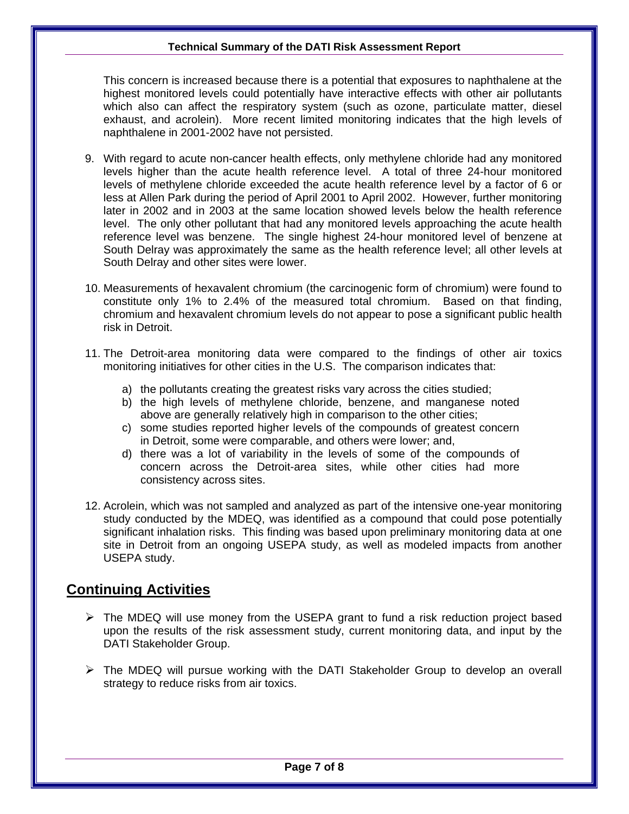This concern is increased because there is a potential that exposures to naphthalene at the highest monitored levels could potentially have interactive effects with other air pollutants which also can affect the respiratory system (such as ozone, particulate matter, diesel exhaust, and acrolein). More recent limited monitoring indicates that the high levels of naphthalene in 2001-2002 have not persisted.

- 9. With regard to acute non-cancer health effects, only methylene chloride had any monitored levels higher than the acute health reference level. A total of three 24-hour monitored levels of methylene chloride exceeded the acute health reference level by a factor of 6 or less at Allen Park during the period of April 2001 to April 2002. However, further monitoring later in 2002 and in 2003 at the same location showed levels below the health reference level. The only other pollutant that had any monitored levels approaching the acute health reference level was benzene. The single highest 24-hour monitored level of benzene at South Delray was approximately the same as the health reference level; all other levels at South Delray and other sites were lower.
- 10. Measurements of hexavalent chromium (the carcinogenic form of chromium) were found to constitute only 1% to 2.4% of the measured total chromium. Based on that finding, chromium and hexavalent chromium levels do not appear to pose a significant public health risk in Detroit.
- 11. The Detroit-area monitoring data were compared to the findings of other air toxics monitoring initiatives for other cities in the U.S. The comparison indicates that:
	- a) the pollutants creating the greatest risks vary across the cities studied;
	- above are generally relatively high in comparison to the other cities; b) the high levels of methylene chloride, benzene, and manganese noted
	- c) some studies reported higher levels of the compounds of greatest concern in Detroit, some were comparable, and others were lower; and,
	- consistency across sites. d) there was a lot of variability in the levels of some of the compounds of concern across the Detroit-area sites, while other cities had more
- 12. Acrolein, which was not sampled and analyzed as part of the intensive one-year monitoring study conducted by the MDEQ, was identified as a compound that could pose potentially significant inhalation risks. This finding was based upon preliminary monitoring data at one site in Detroit from an ongoing USEPA study, as well as modeled impacts from another USEPA study.

# **Continuing Activities**

- $\triangleright$  The MDEQ will use money from the USEPA grant to fund a risk reduction project based upon the results of the risk assessment study, current monitoring data, and input by the DATI Stakeholder Group.
- $\triangleright$  The MDEQ will pursue working with the DATI Stakeholder Group to develop an overall strategy to reduce risks from air toxics.